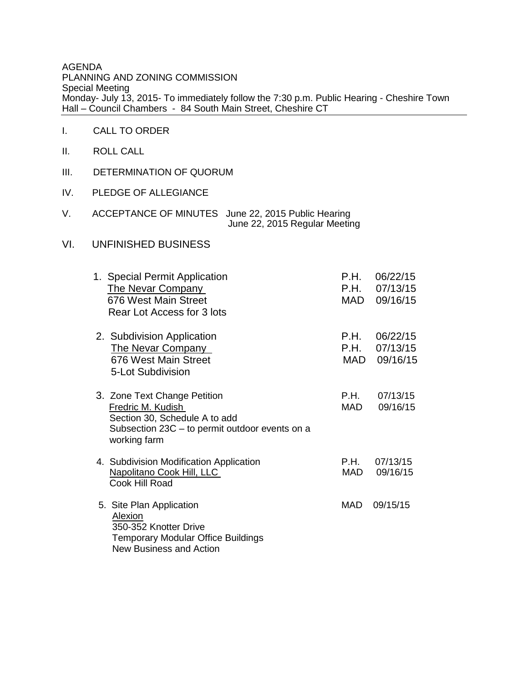AGENDA PLANNING AND ZONING COMMISSION Special Meeting Monday- July 13, 2015- To immediately follow the 7:30 p.m. Public Hearing - Cheshire Town Hall – Council Chambers - 84 South Main Street, Cheshire CT

- I. CALL TO ORDER
- II. ROLL CALL
- III. DETERMINATION OF QUORUM
- IV. PLEDGE OF ALLEGIANCE
- V. ACCEPTANCE OF MINUTES June 22, 2015 Public Hearing June 22, 2015 Regular Meeting
- VI. UNFINISHED BUSINESS

| 1. Special Permit Application<br><b>The Nevar Company</b><br>676 West Main Street<br>Rear Lot Access for 3 lots                                      | P.H.<br>P.H.        | 06/22/15<br>07/13/15<br>MAD 09/16/15 |
|------------------------------------------------------------------------------------------------------------------------------------------------------|---------------------|--------------------------------------|
| 2. Subdivision Application<br>The Nevar Company<br>676 West Main Street<br>5-Lot Subdivision                                                         | P.H.<br>P.H.<br>MAD | 06/22/15<br>07/13/15<br>09/16/15     |
| 3. Zone Text Change Petition<br>Fredric M. Kudish<br>Section 30, Schedule A to add<br>Subsection 23C - to permit outdoor events on a<br>working farm | P.H.<br>MAD         | 07/13/15<br>09/16/15                 |
| 4. Subdivision Modification Application<br><b>Napolitano Cook Hill, LLC</b><br>Cook Hill Road                                                        | P.H.<br>MAD         | 07/13/15<br>09/16/15                 |
| 5. Site Plan Application<br>Alexion<br>350-352 Knotter Drive<br><b>Temporary Modular Office Buildings</b><br><b>New Business and Action</b>          | MAD                 | 09/15/15                             |